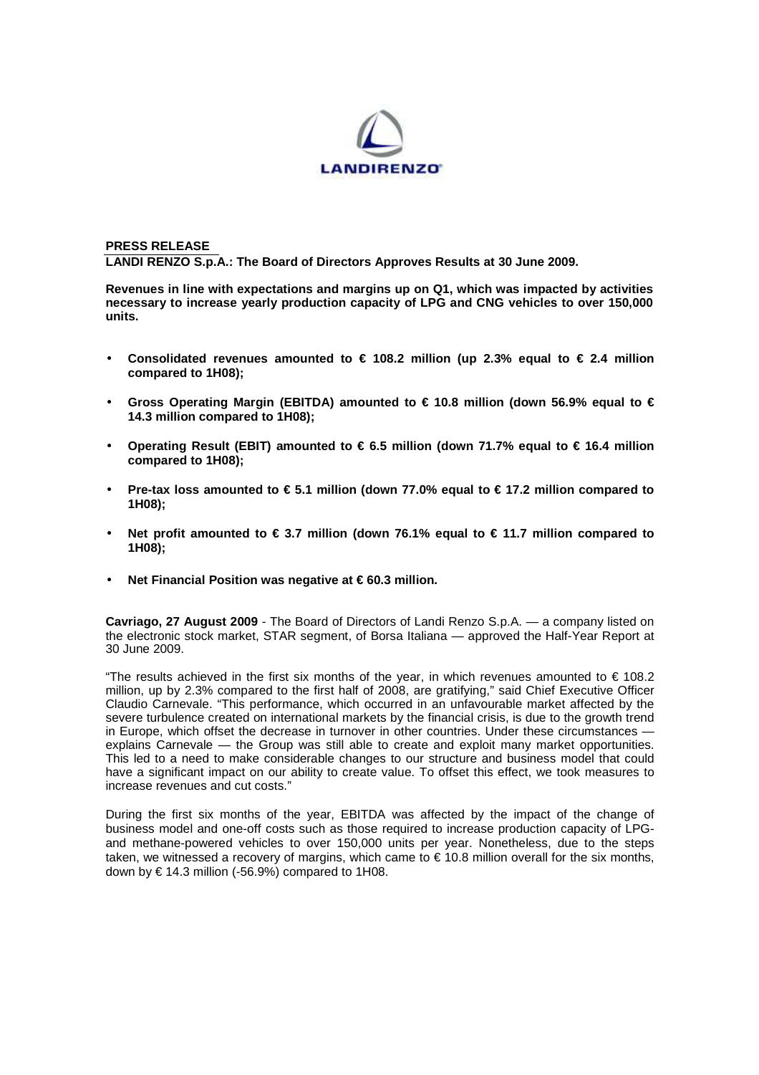

**PRESS RELEASE LANDI RENZO S.p.A.: The Board of Directors Approves Results at 30 June 2009.** 

**Revenues in line with expectations and margins up on Q1, which was impacted by activities necessary to increase yearly production capacity of LPG and CNG vehicles to over 150,000 units.** 

- Consolidated revenues amounted to  $\in$  108.2 million (up 2.3% equal to  $\in$  2.4 million **compared to 1H08);**
- **Gross Operating Margin (EBITDA) amounted to € 10.8 million (down 56.9% equal to € 14.3 million compared to 1H08);**
- **Operating Result (EBIT) amounted to € 6.5 million (down 71.7% equal to € 16.4 million compared to 1H08);**
- **Pre-tax loss amounted to € 5.1 million (down 77.0% equal to € 17.2 million compared to 1H08);**
- **Net profit amounted to € 3.7 million (down 76.1% equal to € 11.7 million compared to 1H08);**
- Net Financial Position was negative at € 60.3 million.

**Cavriago, 27 August 2009** - The Board of Directors of Landi Renzo S.p.A. — a company listed on the electronic stock market, STAR segment, of Borsa Italiana — approved the Half-Year Report at 30 June 2009.

"The results achieved in the first six months of the year, in which revenues amounted to € 108.2 million, up by 2.3% compared to the first half of 2008, are gratifying," said Chief Executive Officer Claudio Carnevale. "This performance, which occurred in an unfavourable market affected by the severe turbulence created on international markets by the financial crisis, is due to the growth trend in Europe, which offset the decrease in turnover in other countries. Under these circumstances explains Carnevale — the Group was still able to create and exploit many market opportunities. This led to a need to make considerable changes to our structure and business model that could have a significant impact on our ability to create value. To offset this effect, we took measures to increase revenues and cut costs."

During the first six months of the year, EBITDA was affected by the impact of the change of business model and one-off costs such as those required to increase production capacity of LPGand methane-powered vehicles to over 150,000 units per year. Nonetheless, due to the steps taken, we witnessed a recovery of margins, which came to  $\epsilon$  10.8 million overall for the six months, down by  $\in$  14.3 million (-56.9%) compared to 1H08.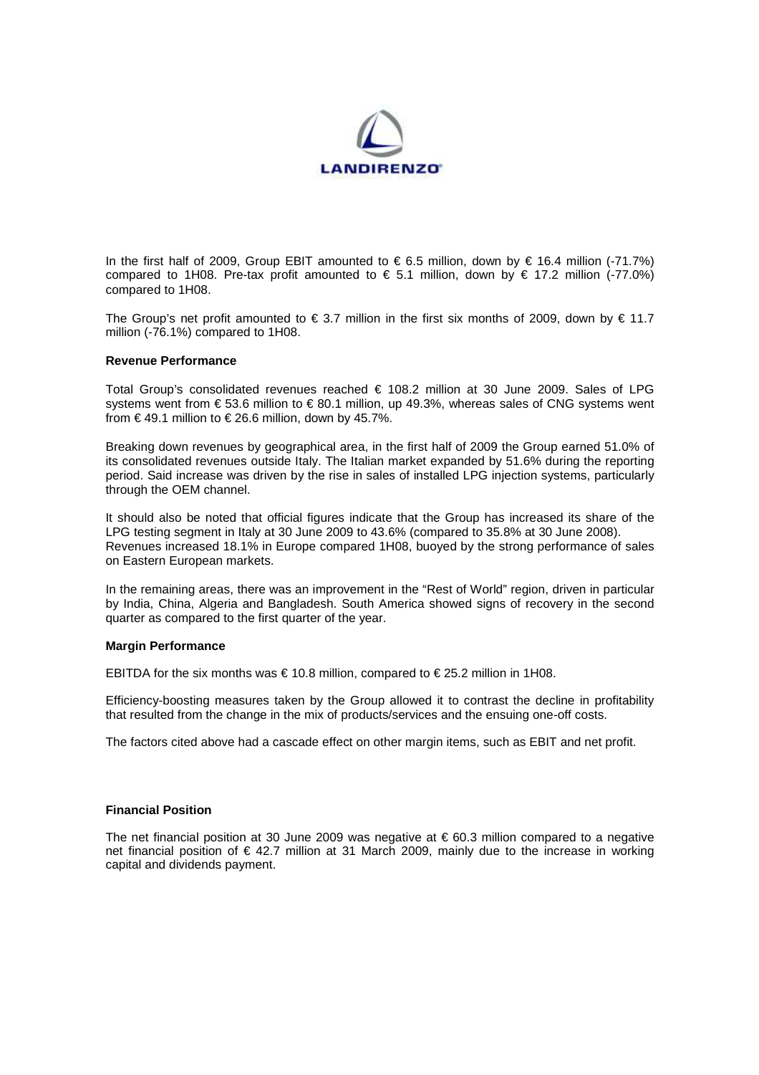

In the first half of 2009, Group EBIT amounted to €6.5 million, down by € 16.4 million (-71.7%) compared to 1H08. Pre-tax profit amounted to  $\in$  5.1 million, down by  $\in$  17.2 million (-77.0%) compared to 1H08.

The Group's net profit amounted to  $\in$  3.7 million in the first six months of 2009, down by  $\in$  11.7 million (-76.1%) compared to 1H08.

## **Revenue Performance**

Total Group's consolidated revenues reached € 108.2 million at 30 June 2009. Sales of LPG systems went from  $\epsilon$  53.6 million to  $\epsilon$  80.1 million, up 49.3%, whereas sales of CNG systems went from  $\epsilon$  49.1 million to  $\epsilon$  26.6 million, down by 45.7%.

Breaking down revenues by geographical area, in the first half of 2009 the Group earned 51.0% of its consolidated revenues outside Italy. The Italian market expanded by 51.6% during the reporting period. Said increase was driven by the rise in sales of installed LPG injection systems, particularly through the OEM channel.

It should also be noted that official figures indicate that the Group has increased its share of the LPG testing segment in Italy at 30 June 2009 to 43.6% (compared to 35.8% at 30 June 2008). Revenues increased 18.1% in Europe compared 1H08, buoyed by the strong performance of sales on Eastern European markets.

In the remaining areas, there was an improvement in the "Rest of World" region, driven in particular by India, China, Algeria and Bangladesh. South America showed signs of recovery in the second quarter as compared to the first quarter of the year.

## **Margin Performance**

EBITDA for the six months was  $\in$  10.8 million, compared to  $\in$  25.2 million in 1H08.

Efficiency-boosting measures taken by the Group allowed it to contrast the decline in profitability that resulted from the change in the mix of products/services and the ensuing one-off costs.

The factors cited above had a cascade effect on other margin items, such as EBIT and net profit.

## **Financial Position**

The net financial position at 30 June 2009 was negative at  $\epsilon$  60.3 million compared to a negative net financial position of € 42.7 million at 31 March 2009, mainly due to the increase in working capital and dividends payment.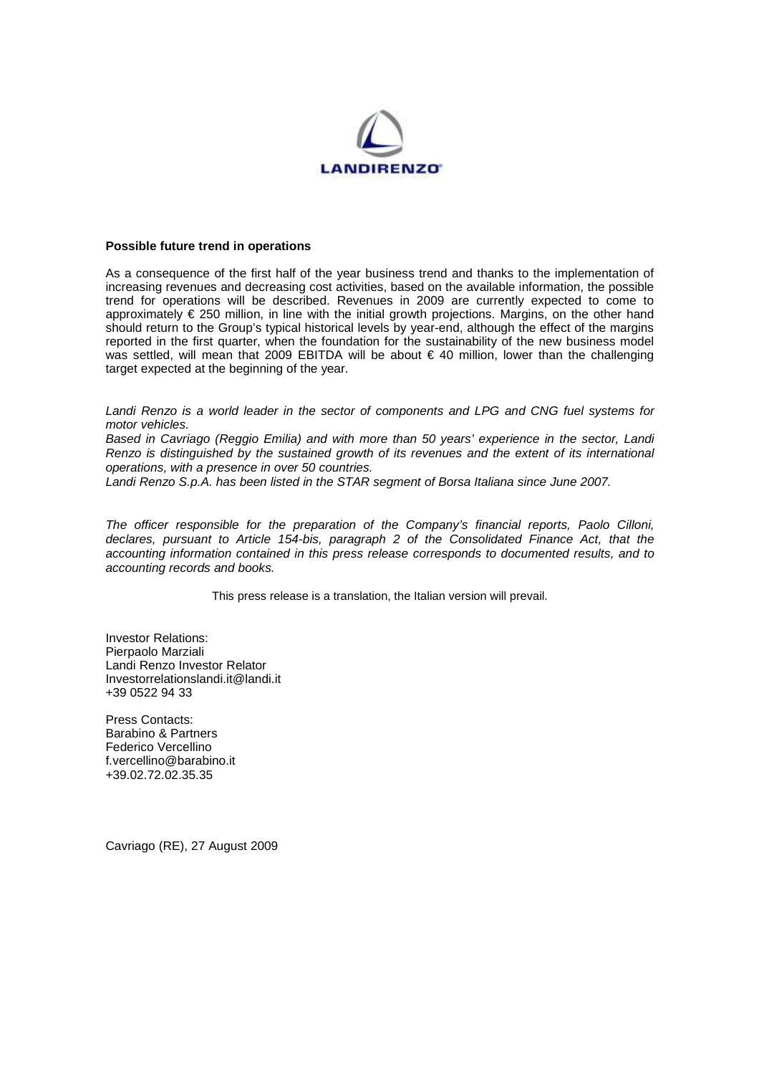

## **Possible future trend in operations**

As a consequence of the first half of the year business trend and thanks to the implementation of increasing revenues and decreasing cost activities, based on the available information, the possible trend for operations will be described. Revenues in 2009 are currently expected to come to approximately € 250 million, in line with the initial growth projections. Margins, on the other hand should return to the Group's typical historical levels by year-end, although the effect of the margins reported in the first quarter, when the foundation for the sustainability of the new business model was settled, will mean that 2009 EBITDA will be about € 40 million, lower than the challenging target expected at the beginning of the year.

Landi Renzo is a world leader in the sector of components and LPG and CNG fuel systems for motor vehicles.

Based in Cavriago (Reggio Emilia) and with more than 50 years' experience in the sector, Landi Renzo is distinguished by the sustained growth of its revenues and the extent of its international operations, with a presence in over 50 countries.

Landi Renzo S.p.A. has been listed in the STAR segment of Borsa Italiana since June 2007.

The officer responsible for the preparation of the Company's financial reports, Paolo Cilloni, declares, pursuant to Article 154-bis, paragraph 2 of the Consolidated Finance Act, that the accounting information contained in this press release corresponds to documented results, and to accounting records and books.

This press release is a translation, the Italian version will prevail.

Investor Relations: Pierpaolo Marziali Landi Renzo Investor Relator Investorrelationslandi.it@landi.it +39 0522 94 33

Press Contacts: Barabino & Partners Federico Vercellino f.vercellino@barabino.it +39.02.72.02.35.35

Cavriago (RE), 27 August 2009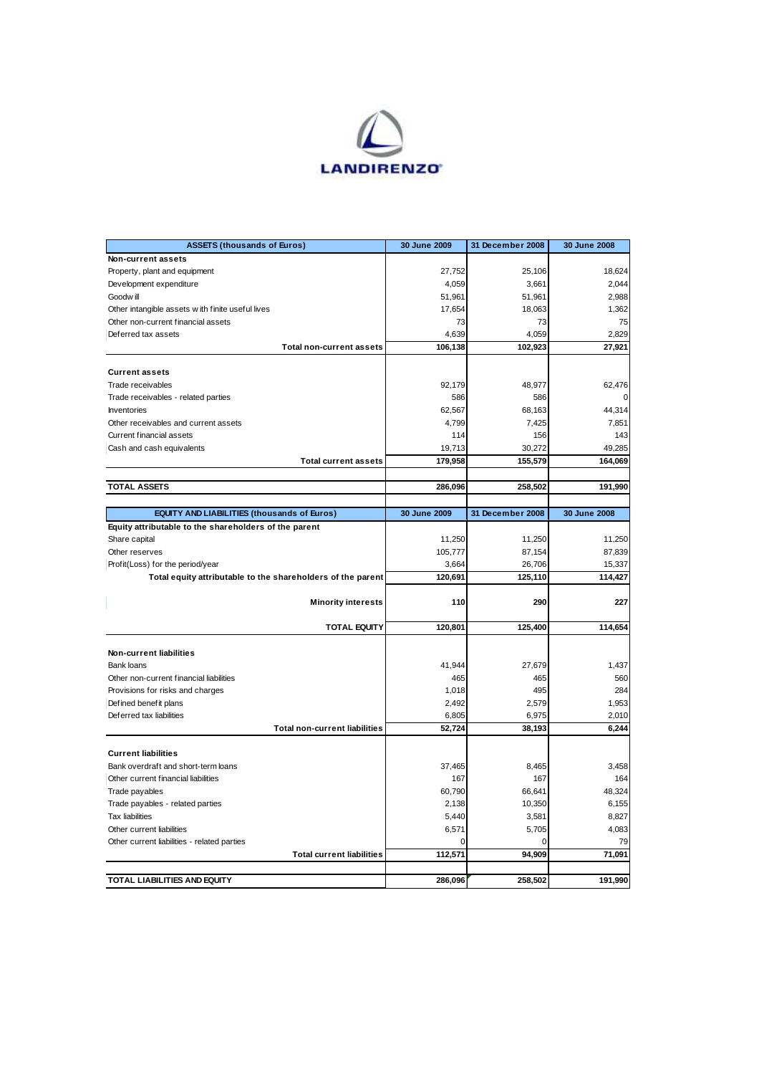

| <b>ASSETS (thousands of Euros)</b>                                                                                                                                                      | 30 June 2009 | 31 December 2008 | 30 June 2008                                                                                 |
|-----------------------------------------------------------------------------------------------------------------------------------------------------------------------------------------|--------------|------------------|----------------------------------------------------------------------------------------------|
| Non-current assets                                                                                                                                                                      |              |                  |                                                                                              |
| Property, plant and equipment                                                                                                                                                           | 27,752       | 25,106           | 18,624                                                                                       |
| Development expenditure                                                                                                                                                                 | 4,059        | 3,661            | 2,044                                                                                        |
| Goodw ill                                                                                                                                                                               | 51,961       | 51,961           | 2,988                                                                                        |
| Other intangible assets with finite useful lives                                                                                                                                        | 17,654       | 18,063           | 1,362                                                                                        |
| Other non-current financial assets                                                                                                                                                      | 73           | 73               | 75                                                                                           |
| Deferred tax assets                                                                                                                                                                     | 4,639        | 4,059            | 2,829                                                                                        |
| <b>Total non-current assets</b>                                                                                                                                                         | 106,138      | 102,923          | 27,921                                                                                       |
|                                                                                                                                                                                         |              |                  |                                                                                              |
| <b>Current assets</b>                                                                                                                                                                   |              |                  |                                                                                              |
| Trade receivables                                                                                                                                                                       | 92,179       | 48,977           | 62,476                                                                                       |
| Trade receivables - related parties                                                                                                                                                     | 586          | 586              | 0                                                                                            |
| Inventories                                                                                                                                                                             | 62,567       | 68,163           | 44,314                                                                                       |
| Other receivables and current assets                                                                                                                                                    | 4,799        | 7,425            | 7,851                                                                                        |
| Current financial assets                                                                                                                                                                | 114          | 156              | 143                                                                                          |
| Cash and cash equivalents                                                                                                                                                               | 19,713       | 30,272           | 49,285                                                                                       |
| <b>Total current assets</b>                                                                                                                                                             | 179,958      | 155,579          | 164,069                                                                                      |
|                                                                                                                                                                                         |              |                  |                                                                                              |
| <b>TOTAL ASSETS</b>                                                                                                                                                                     | 286,096      | 258,502          | 191,990                                                                                      |
|                                                                                                                                                                                         |              |                  |                                                                                              |
| <b>EQUITY AND LIABILITIES (thousands of Euros)</b>                                                                                                                                      | 30 June 2009 | 31 December 2008 | 30 June 2008                                                                                 |
| Equity attributable to the shareholders of the parent                                                                                                                                   |              |                  |                                                                                              |
| Share capital                                                                                                                                                                           | 11,250       | 11,250           | 11,250                                                                                       |
| Other reserves                                                                                                                                                                          | 105,777      | 87,154           | 87,839                                                                                       |
| Profit(Loss) for the period/year                                                                                                                                                        | 3,664        | 26,706           | 15,337                                                                                       |
|                                                                                                                                                                                         | 120,691      | 125,110          |                                                                                              |
| Total equity attributable to the shareholders of the parent                                                                                                                             |              |                  | 114,427                                                                                      |
| <b>Minority interests</b>                                                                                                                                                               | 110          | 290              | 227                                                                                          |
|                                                                                                                                                                                         |              |                  |                                                                                              |
| <b>TOTAL EQUITY</b>                                                                                                                                                                     | 120,801      | 125,400          | 114,654                                                                                      |
|                                                                                                                                                                                         |              |                  |                                                                                              |
| Non-current liabilities                                                                                                                                                                 |              |                  |                                                                                              |
| <b>Bank loans</b>                                                                                                                                                                       | 41,944       | 27,679           | 1,437                                                                                        |
|                                                                                                                                                                                         |              |                  |                                                                                              |
| Other non-current financial liabilities                                                                                                                                                 | 465<br>1,018 | 465              | 560<br>284                                                                                   |
| Provisions for risks and charges                                                                                                                                                        |              |                  |                                                                                              |
|                                                                                                                                                                                         |              | 495              |                                                                                              |
| Defined benefit plans                                                                                                                                                                   | 2,492        | 2,579            |                                                                                              |
| Deferred tax liabilities                                                                                                                                                                | 6,805        | 6,975            |                                                                                              |
| <b>Total non-current liabilities</b>                                                                                                                                                    | 52,724       | 38,193           |                                                                                              |
|                                                                                                                                                                                         |              |                  |                                                                                              |
| <b>Current liabilities</b>                                                                                                                                                              |              |                  |                                                                                              |
|                                                                                                                                                                                         | 37,465       | 8,465            |                                                                                              |
|                                                                                                                                                                                         | 167          | 167              |                                                                                              |
|                                                                                                                                                                                         | 60,790       | 66,641           |                                                                                              |
|                                                                                                                                                                                         | 2,138        | 10,350           |                                                                                              |
|                                                                                                                                                                                         | 5,440        | 3,581            |                                                                                              |
| Bank overdraft and short-term loans<br>Other current financial liabilities<br>Trade payables<br>Trade payables - related parties<br><b>Tax liabilities</b><br>Other current liabilities | 6,571        | 5,705            |                                                                                              |
| Other current liabilities - related parties                                                                                                                                             | O            | 0                |                                                                                              |
| <b>Total current liabilities</b>                                                                                                                                                        | 112,571      | 94,909           | 1,953<br>2,010<br>6,244<br>3,458<br>164<br>48,324<br>6,155<br>8,827<br>4,083<br>79<br>71,091 |
|                                                                                                                                                                                         |              |                  |                                                                                              |